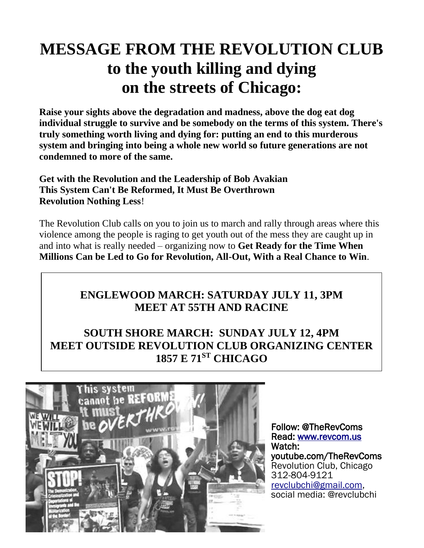## **MESSAGE FROM THE REVOLUTION CLUB to the youth killing and dying on the streets of Chicago:**

**Raise your sights above the degradation and madness, above the dog eat dog individual struggle to survive and be somebody on the terms of this system. There's truly something worth living and dying for: putting an end to this murderous system and bringing into being a whole new world so future generations are not condemned to more of the same.**

**Get with the Revolution and the Leadership of Bob Avakian This System Can't Be Reformed, It Must Be Overthrown Revolution Nothing Less**!

The Revolution Club calls on you to join us to march and rally through areas where this violence among the people is raging to get youth out of the mess they are caught up in and into what is really needed – organizing now to **Get Ready for the Time When Millions Can be Led to Go for Revolution, All-Out, With a Real Chance to Win**.

### **ENGLEWOOD MARCH: SATURDAY JULY 11, 3PM MEET AT 55TH AND RACINE**

### **SOUTH SHORE MARCH: SUNDAY JULY 12, 4PM MEET OUTSIDE REVOLUTION CLUB ORGANIZING CENTER 1857 E 71ST CHICAGO**



Follow: @TheRevComs Read: [www.revcom.us](http://www.revcom.us/)  Watch: youtube.com/TheRevComs Revolution Club, Chicago 312-804-9121 [revclubchi@gmail.com,](mailto:revclubchi@gmail.com) social media: @revclubchi